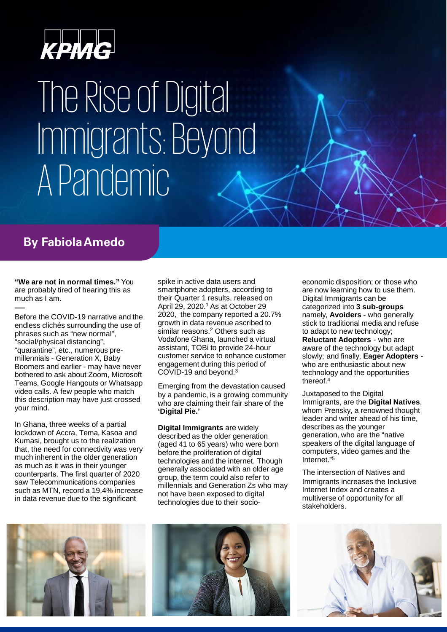

## The Rise of Digital Immigrants: Beyond APandemic

### **By FabiolaAmedo**

**"We are not in normal times."** You are probably tired of hearing this as much as I am.

Before the COVID-19 narrative and the endless clichés surrounding the use of phrases such as "new normal", "social/physical distancing", "quarantine", etc., numerous premillennials - Generation X, Baby Boomers and earlier - may have never bothered to ask about Zoom, Microsoft Teams, Google Hangouts or Whatsapp video calls. A few people who match this description may have just crossed your mind.

In Ghana, three weeks of a partial lockdown of Accra, Tema, Kasoa and Kumasi, brought us to the realization that, the need for connectivity was very much inherent in the older generation as much as it was in their younger counterparts. The first quarter of 2020 saw Telecommunications companies such as MTN, record a 19.4% increase in data revenue due to the significant

spike in active data users and smartphone adopters, according to their Quarter 1 results, released on April 29, 2020. <sup>1</sup> As at October 29 2020, the company reported a 20.7% growth in data revenue ascribed to similar reasons. <sup>2</sup> Others such as Vodafone Ghana, launched a virtual assistant, TOBi to provide 24-hour customer service to enhance customer engagement during this period of COVID-19 and beyond. 3

Emerging from the devastation caused by a pandemic, is a growing community who are claiming their fair share of the **'Digital Pie.'**

**Digital Immigrants** are widely described as the older generation (aged 41 to 65 years) who were born before the proliferation of digital technologies and the internet. Though generally associated with an older age group, the term could also refer to millennials and Generation Zs who may not have been exposed to digital technologies due to their socioeconomic disposition; or those who are now learning how to use them. Digital Immigrants can be categorized into **3 sub-groups**  namely, **Avoiders** - who generally stick to traditional media and refuse to adapt to new technology; **Reluctant Adopters** - who are aware of the technology but adapt slowly; and finally, **Eager Adopters**  who are enthusiastic about new technology and the opportunities thereof. 4

Juxtaposed to the Digital Immigrants, are the **Digital Natives**, whom Prensky, a renowned thought leader and writer ahead of his time, describes as the younger generation, who are the "native speakers of the digital language of computers, video games and the Internet."5

The intersection of Natives and Immigrants increases the Inclusive Internet Index and creates a multiverse of opportunity for all stakeholders.





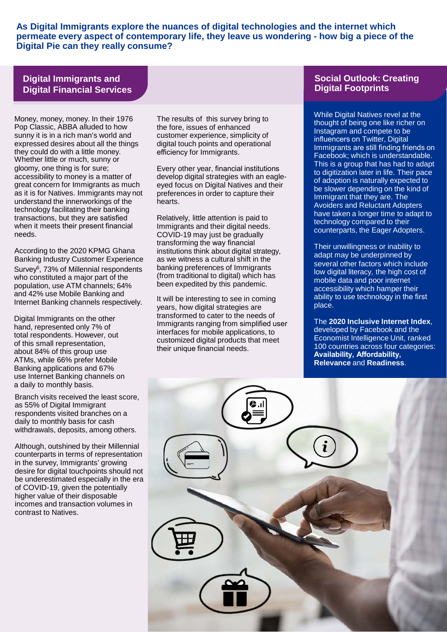**As Digital Immigrants explore the nuances of digital technologies and the internet which permeate every aspect of contemporary life, they leave us wondering - how big a piece of the Digital Pie can they really consume?**

### **Digital Immigrants and Digital Financial Services**

Money, money, money. In their 1976 Pop Classic, ABBA alluded to how sunny it is in a rich man's world and expressed desires about all the things they could do with a little money. Whether little or much, sunny or gloomy, one thing is for sure; accessibility to money is a matter of great concern for Immigrants as much as it is for Natives. Immigrants may not understand the innerworkings of the technology facilitating their banking transactions, but they are satisfied when it meets their present financial needs.

According to the 2020 KPMG Ghana Banking Industry Customer Experience Survey6, 73% of Millennial respondents who constituted a major part of the population, use ATM channels; 64% and 42% use Mobile Banking and Internet Banking channels respectively.

Digital Immigrants on the other hand, represented only 7% of total respondents. However, out of this small representation, about 84% of this group use ATMs, while 66% prefer Mobile Banking applications and 67% use Internet Banking channels on a daily to monthly basis.

Branch visits received the least score, as 55% of Digital Immigrant respondents visited branches on a daily to monthly basis for cash withdrawals, deposits, among others.

Although, outshined by their Millennial counterparts in terms of representation in the survey, Immigrants' growing desire for digital touchpoints should not be underestimated especially in the era of COVID-19, given the potentially higher value of their disposable incomes and transaction volumes in contrast to Natives.

The results of this survey bring to the fore, issues of enhanced customer experience, simplicity of digital touch points and operational efficiency for Immigrants.

Every other year, financial institutions develop digital strategies with an eagleeyed focus on Digital Natives and their preferences in order to capture their hearts.

Relatively, little attention is paid to Immigrants and their digital needs. COVID-19 may just be gradually transforming the way financial institutions think about digital strategy, as we witness a cultural shift in the banking preferences of Immigrants (from traditional to digital) which has been expedited by this pandemic.

It will be interesting to see in coming years, how digital strategies are transformed to cater to the needs of Immigrants ranging from simplified user interfaces for mobile applications, to customized digital products that meet their unique financial needs.

### **Social Outlook: Creating Digital Footprints**

While Digital Natives revel at the thought of being one like richer on Instagram and compete to be influencers on Twitter, Digital Immigrants are still finding friends on Facebook; which is understandable. This is a group that has had to adapt to digitization later in life. Their pace of adoption is naturally expected to be slower depending on the kind of Immigrant that they are. The Avoiders and Reluctant Adopters have taken a longer time to adapt to technology compared to their counterparts, the Eager Adopters.

Their unwillingness or inability to adapt may be underpinned by several other factors which include low digital literacy, the high cost of mobile data and poor internet accessibility which hamper their ability to use technology in the first place.

The **2020 Inclusive Internet Index**, developed by Facebook and the Economist Intelligence Unit, ranked 100 countries across four categories: **Availability, Affordability, Relevance** and **Readiness**.

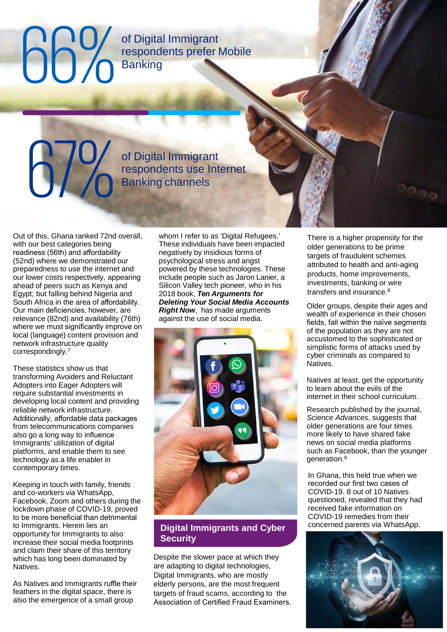# **Banking**

of Digital Immigrant respondents prefer Mobile

of Digital Immigrant<br>respondents use Internet **CONSERVING SEX OF Digital Immigrant**<br>The Spondents use Internet Banking channels

Out of this, Ghana ranked 72nd overall, with our best categories being readiness (56th) and affordability (52nd) where we demonstrated our preparedness to use the internet and our lower costs respectively, appearing ahead of peers such as Kenya and Egypt; but falling behind Nigeria and South Africa in the area of affordability. Our main deficiencies, however, are relevance (82nd) and availability (76th) where we must significantly improve on local (language) content provision and network infrastructure quality correspondingly.7

These statistics show us that transforming Avoiders and Reluctant Adopters into Eager Adopters will require substantial investments in developing local content and providing reliable network infrastructure. Additionally, affordable data packages from telecommunications companies also go a long way to influence Immigrants' utilization of digital platforms, and enable them to see technology as a life enabler in contemporary times.

Keeping in touch with family, friends and co-workers via WhatsApp, Facebook, Zoom and others during the lockdown phase of COVID-19, proved to be more beneficial than detrimental to Immigrants. Herein lies an opportunity for Immigrants to also increase their social media footprints and claim their share of this territory which has long been dominated by Natives.

As Natives and Immigrants ruffle their feathers in the digital space, there is also the emergence of a small group

whom I refer to as 'Digital Refugees.' These individuals have been impacted negatively by insidious forms of psychological stress and angst powered by these technologies. These include people such as Jaron Lanier, a Silicon Valley tech pioneer, who in his 2018 book, *Ten Arguments for Deleting Your Social Media Accounts Right Now*, has made arguments against the use of social media.



### **Digital Immigrants and Cyber Security**

Despite the slower pace at which they are adapting to digital technologies, Digital Immigrants, who are mostly elderly persons, are the most frequent targets of fraud scams, according to the Association of Certified Fraud Examiners.

There is a higher propensity for the older generations to be prime targets of fraudulent schemes attributed to health and anti-aging products, home improvements, investments, banking or wire transfers and insurance.<sup>8</sup>

Older groups, despite their ages and wealth of experience in their chosen fields, fall within the naïve segments of the population as they are not accustomed to the sophisticated or simplistic forms of attacks used by cyber criminals as compared to Natives.

Natives at least, get the opportunity to learn about the evils of the internet in their school curriculum.

Research published by the journal, *Science Advances*, suggests that older generations are four times more likely to have shared fake news on social media platforms such as Facebook, than the younger generation.9

In Ghana, this held true when we recorded our first two cases of COVID-19. 8 out of 10 Natives questioned, revealed that they had received fake information on COVID-19 remedies from their concerned parents via WhatsApp.